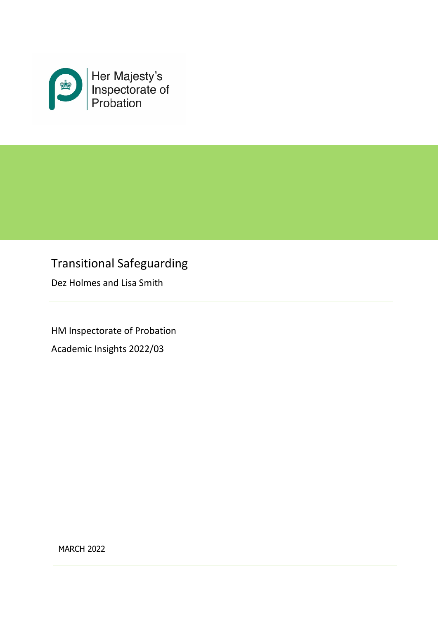

# Transitional Safeguarding

Dez Holmes and Lisa Smith

HM Inspectorate of Probation Academic Insights 2022/03

MARCH 2022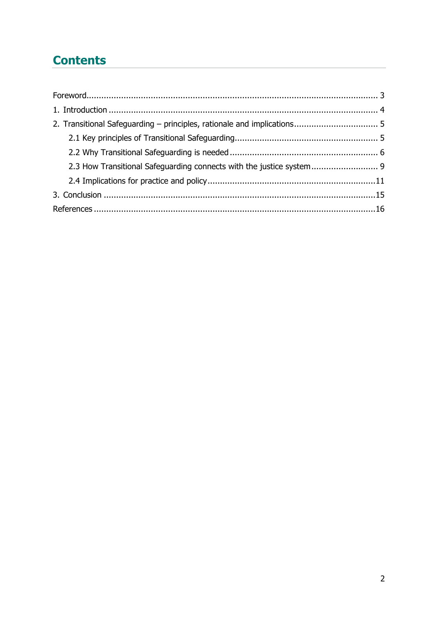# **Contents**

| 2.3 How Transitional Safeguarding connects with the justice system 9 |  |
|----------------------------------------------------------------------|--|
|                                                                      |  |
|                                                                      |  |
|                                                                      |  |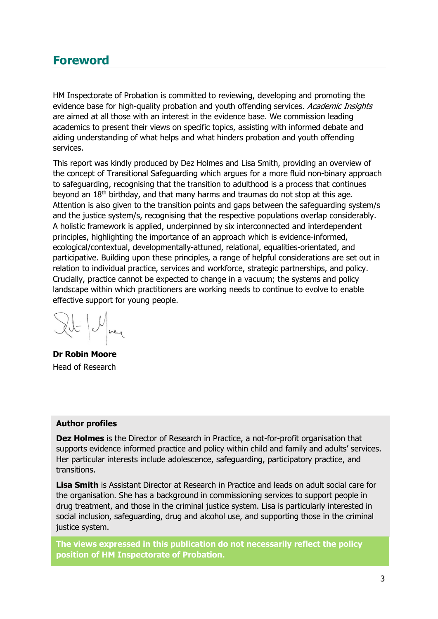# <span id="page-2-0"></span>**Foreword**

HM Inspectorate of Probation is committed to reviewing, developing and promoting the evidence base for high-quality probation and youth offending services. Academic Insights are aimed at all those with an interest in the evidence base. We commission leading academics to present their views on specific topics, assisting with informed debate and aiding understanding of what helps and what hinders probation and youth offending services.

This report was kindly produced by Dez Holmes and Lisa Smith, providing an overview of the concept of Transitional Safeguarding which argues for a more fluid non-binary approach to safeguarding, recognising that the transition to adulthood is a process that continues beyond an  $18<sup>th</sup>$  birthday, and that many harms and traumas do not stop at this age. Attention is also given to the transition points and gaps between the safeguarding system/s and the justice system/s, recognising that the respective populations overlap considerably. A holistic framework is applied, underpinned by six interconnected and interdependent principles, highlighting the importance of an approach which is evidence-informed, ecological/contextual, developmentally-attuned, relational, equalities-orientated, and participative. Building upon these principles, a range of helpful considerations are set out in relation to individual practice, services and workforce, strategic partnerships, and policy. Crucially, practice cannot be expected to change in a vacuum; the systems and policy landscape within which practitioners are working needs to continue to evolve to enable effective support for young people.

 $2U = U_{\text{ref}}$ 

**Dr Robin Moore** Head of Research

#### **Author profiles**

**Dez Holmes** is the Director of Research in Practice, a not-for-profit organisation that supports evidence informed practice and policy within child and family and adults' services. Her particular interests include adolescence, safeguarding, participatory practice, and transitions.

**Lisa Smith** is Assistant Director at Research in Practice and leads on adult social care for the organisation. She has a background in commissioning services to support people in drug treatment, and those in the criminal justice system. Lisa is particularly interested in social inclusion, safeguarding, drug and alcohol use, and supporting those in the criminal justice system.

**The views expressed in this publication do not necessarily reflect the policy position of HM Inspectorate of Probation.**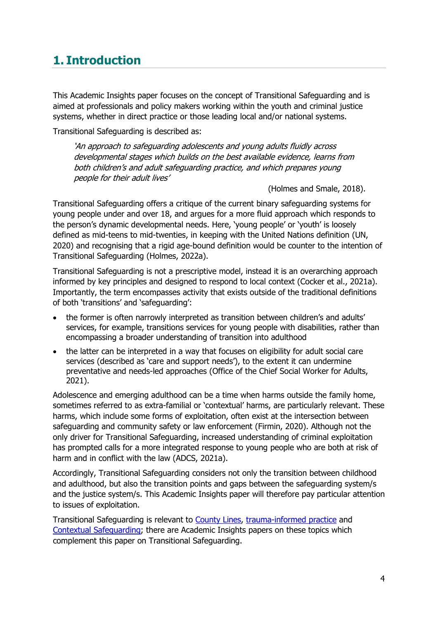# <span id="page-3-0"></span>**1. Introduction**

This Academic Insights paper focuses on the concept of Transitional Safeguarding and is aimed at professionals and policy makers working within the youth and criminal justice systems, whether in direct practice or those leading local and/or national systems.

Transitional Safeguarding is described as:

'An approach to safeguarding adolescents and young adults fluidly across developmental stages which builds on the best available evidence, learns from both children's and adult safeguarding practice, and which prepares young people for their adult lives'

(Holmes and Smale, 2018).

Transitional Safeguarding offers a critique of the current binary safeguarding systems for young people under and over 18, and argues for a more fluid approach which responds to the person's dynamic developmental needs. Here, 'young people' or 'youth' is loosely defined as mid-teens to mid-twenties, in keeping with the United Nations definition (UN, 2020) and recognising that a rigid age-bound definition would be counter to the intention of Transitional Safeguarding (Holmes, 2022a).

Transitional Safeguarding is not a prescriptive model, instead it is an overarching approach informed by key principles and designed to respond to local context (Cocker et al., 2021a). Importantly, the term encompasses activity that exists outside of the traditional definitions of both 'transitions' and 'safeguarding':

- the former is often narrowly interpreted as transition between children's and adults' services, for example, transitions services for young people with disabilities, rather than encompassing a broader understanding of transition into adulthood
- the latter can be interpreted in a way that focuses on eligibility for adult social care services (described as 'care and support needs'), to the extent it can undermine preventative and needs-led approaches (Office of the Chief Social Worker for Adults, 2021).

Adolescence and emerging adulthood can be a time when harms outside the family home, sometimes referred to as extra-familial or 'contextual' harms, are particularly relevant. These harms, which include some forms of exploitation, often exist at the intersection between safeguarding and community safety or law enforcement (Firmin, 2020). Although not the only driver for Transitional Safeguarding, increased understanding of criminal exploitation has prompted calls for a more integrated response to young people who are both at risk of harm and in conflict with the law (ADCS, 2021a).

Accordingly, Transitional Safeguarding considers not only the transition between childhood and adulthood, but also the transition points and gaps between the safeguarding system/s and the justice system/s. This Academic Insights paper will therefore pay particular attention to issues of exploitation.

Transitional Safeguarding is relevant to [County Lines,](https://www.justiceinspectorates.gov.uk/hmiprobation/wp-content/uploads/sites/5/2021/01/Academic-Insights-county-lines-.pdf) [trauma-informed practice](https://www.justiceinspectorates.gov.uk/hmiprobation/wp-content/uploads/sites/5/2020/07/Academic-Insights-McCartan.pdf) and [Contextual Safeguarding;](https://www.justiceinspectorates.gov.uk/hmiprobation/wp-content/uploads/sites/5/2020/11/Academic-Insights-Contextual-Safeguarding-CF-Nov-20-for-design.pdf) there are Academic Insights papers on these topics which complement this paper on Transitional Safeguarding.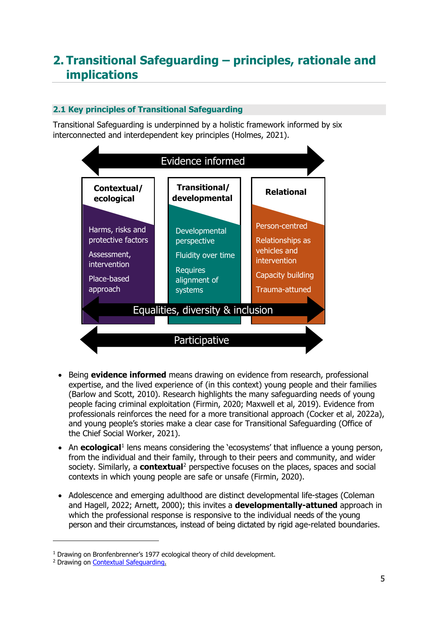# <span id="page-4-0"></span>**2. Transitional Safeguarding – principles, rationale and implications**

## <span id="page-4-1"></span>**2.1 Key principles of Transitional Safeguarding**

Transitional Safeguarding is underpinned by a holistic framework informed by six interconnected and interdependent key principles (Holmes, 2021).



- Being **evidence informed** means drawing on evidence from research, professional expertise, and the lived experience of (in this context) young people and their families (Barlow and Scott, 2010). Research highlights the many safeguarding needs of young people facing criminal exploitation (Firmin, 2020; Maxwell et al, 2019). Evidence from professionals reinforces the need for a more transitional approach (Cocker et al, 2022a), and young people's stories make a clear case for Transitional Safeguarding (Office of the Chief Social Worker, 2021).
- An **ecological**<sup>[1](#page-4-2)</sup> lens means considering the 'ecosystems' that influence a young person, from the individual and their family, through to their peers and community, and wider society. Similarly, a **contextual**<sup>[2](#page-4-3)</sup> perspective focuses on the places, spaces and social contexts in which young people are safe or unsafe (Firmin, 2020).
- Adolescence and emerging adulthood are distinct developmental life-stages (Coleman and Hagell, 2022; Arnett, 2000); this invites a **developmentally-attuned** approach in which the professional response is responsive to the individual needs of the young person and their circumstances, instead of being dictated by rigid age-related boundaries.

<span id="page-4-2"></span><sup>&</sup>lt;sup>1</sup> Drawing on Bronfenbrenner's 1977 ecological theory of child development.

<span id="page-4-3"></span><sup>2</sup> Drawing on [Contextual Safeguarding.](https://www.csnetwork.org.uk/en/)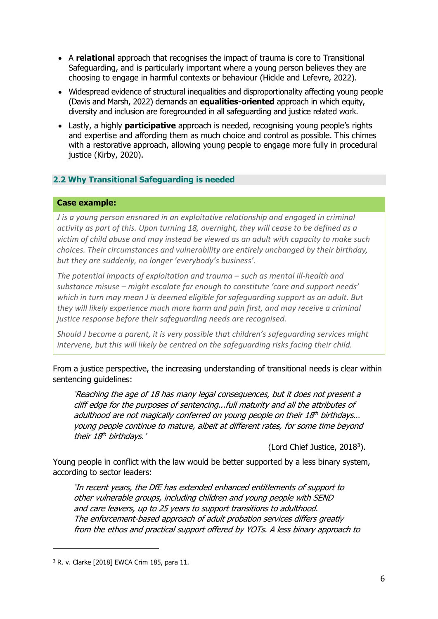- A **relational** approach that recognises the impact of trauma is core to Transitional Safeguarding, and is particularly important where a young person believes they are choosing to engage in harmful contexts or behaviour (Hickle and Lefevre, 2022).
- Widespread evidence of structural inequalities and disproportionality affecting young people (Davis and Marsh, 2022) demands an **equalities-oriented** approach in which equity, diversity and inclusion are foregrounded in all safeguarding and justice related work.
- Lastly, a highly **participative** approach is needed, recognising young people's rights and expertise and affording them as much choice and control as possible. This chimes with a restorative approach, allowing young people to engage more fully in procedural justice (Kirby, 2020).

### <span id="page-5-0"></span>**2.2 Why Transitional Safeguarding is needed**

#### **Case example:**

*J is a young person ensnared in an exploitative relationship and engaged in criminal activity as part of this. Upon turning 18, overnight, they will cease to be defined as a victim of child abuse and may instead be viewed as an adult with capacity to make such choices. Their circumstances and vulnerability are entirely unchanged by their birthday, but they are suddenly, no longer 'everybody's business'.* 

*The potential impacts of exploitation and trauma – such as mental ill-health and substance misuse – might escalate far enough to constitute 'care and support needs' which in turn may mean J is deemed eligible for safeguarding support as an adult. But they will likely experience much more harm and pain first, and may receive a criminal justice response before their safeguarding needs are recognised.* 

*Should J become a parent, it is very possible that children's safeguarding services might intervene, but this will likely be centred on the safeguarding risks facing their child.*

From a justice perspective, the increasing understanding of transitional needs is clear within sentencing guidelines:

'Reaching the age of 18 has many legal consequences, but it does not present a cliff edge for the purposes of sentencing...full maturity and all the attributes of adulthood are not magically conferred on young people on their  $18<sup>th</sup>$  birthdays... young people continue to mature, albeit at different rates, for some time beyond their 18<sup>th</sup> birthdays.'

(Lord Chief Justice,  $2018<sup>3</sup>$  $2018<sup>3</sup>$  $2018<sup>3</sup>$ ).

Young people in conflict with the law would be better supported by a less binary system, according to sector leaders:

'In recent years, the DfE has extended enhanced entitlements of support to other vulnerable groups, including children and young people with SEND and care leavers, up to 25 years to support transitions to adulthood. The enforcement-based approach of adult probation services differs greatly from the ethos and practical support offered by YOTs. A less binary approach to

<span id="page-5-1"></span><sup>3</sup> R. v. Clarke [2018] EWCA Crim 185, para 11.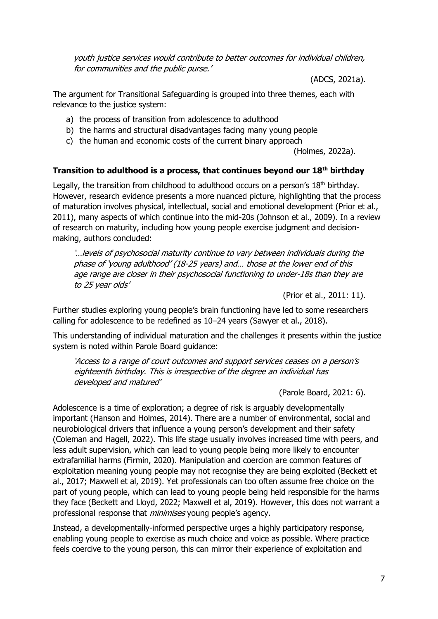youth justice services would contribute to better outcomes for individual children, for communities and the public purse.'

(ADCS, 2021a).

The argument for Transitional Safeguarding is grouped into three themes, each with relevance to the justice system:

- a) the process of transition from adolescence to adulthood
- b) the harms and structural disadvantages facing many young people
- c) the human and economic costs of the current binary approach

(Holmes, 2022a).

### **Transition to adulthood is a process, that continues beyond our 18th birthday**

Legally, the transition from childhood to adulthood occurs on a person's 18<sup>th</sup> birthday. However, research evidence presents a more nuanced picture, highlighting that the process of maturation involves physical, intellectual, social and emotional development (Prior et al., 2011), many aspects of which continue into the mid-20s (Johnson et al., 2009). In a review of research on maturity, including how young people exercise judgment and decisionmaking, authors concluded:

'…levels of psychosocial maturity continue to vary between individuals during the phase of 'young adulthood' (18-25 years) and… those at the lower end of this age range are closer in their psychosocial functioning to under-18s than they are to 25 year olds'

(Prior et al., 2011: 11).

Further studies exploring young people's brain functioning have led to some researchers calling for adolescence to be redefined as 10–24 years (Sawyer et al., 2018).

This understanding of individual maturation and the challenges it presents within the justice system is noted within Parole Board guidance:

'Access to a range of court outcomes and support services ceases on a person's eighteenth birthday. This is irrespective of the degree an individual has developed and matured'

(Parole Board, 2021: 6).

Adolescence is a time of exploration; a degree of risk is arguably developmentally important (Hanson and Holmes, 2014). There are a number of environmental, social and neurobiological drivers that influence a young person's development and their safety (Coleman and Hagell, 2022). This life stage usually involves increased time with peers, and less adult supervision, which can lead to young people being more likely to encounter extrafamilial harms (Firmin, 2020). Manipulation and coercion are common features of exploitation meaning young people may not recognise they are being exploited (Beckett et al., 2017; Maxwell et al, 2019). Yet professionals can too often assume free choice on the part of young people, which can lead to young people being held responsible for the harms they face (Beckett and Lloyd, 2022; Maxwell et al, 2019). However, this does not warrant a professional response that *minimises* young people's agency.

Instead, a developmentally-informed perspective urges a highly participatory response, enabling young people to exercise as much choice and voice as possible. Where practice feels coercive to the young person, this can mirror their experience of exploitation and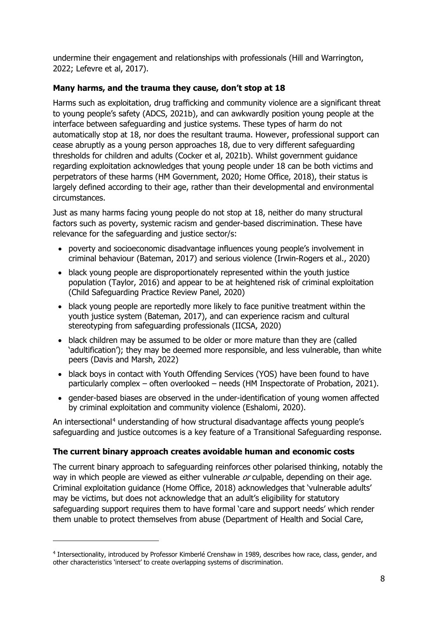undermine their engagement and relationships with professionals (Hill and Warrington, 2022; Lefevre et al, 2017).

## **Many harms, and the trauma they cause, don't stop at 18**

Harms such as exploitation, drug trafficking and community violence are a significant threat to young people's safety (ADCS, 2021b), and can awkwardly position young people at the interface between safeguarding and justice systems. These types of harm do not automatically stop at 18, nor does the resultant trauma. However, professional support can cease abruptly as a young person approaches 18, due to very different safeguarding thresholds for children and adults (Cocker et al, 2021b). Whilst government guidance regarding exploitation acknowledges that young people under 18 can be both victims and perpetrators of these harms (HM Government, 2020; Home Office, 2018), their status is largely defined according to their age, rather than their developmental and environmental circumstances.

Just as many harms facing young people do not stop at 18, neither do many structural factors such as poverty, systemic racism and gender-based discrimination. These have relevance for the safeguarding and justice sector/s:

- poverty and socioeconomic disadvantage influences young people's involvement in criminal behaviour (Bateman, 2017) and serious violence (Irwin-Rogers et al., 2020)
- black young people are disproportionately represented within the youth justice population (Taylor, 2016) and appear to be at heightened risk of criminal exploitation (Child Safeguarding Practice Review Panel, 2020)
- black young people are reportedly more likely to face punitive treatment within the youth justice system (Bateman, 2017), and can experience racism and cultural stereotyping from safeguarding professionals (IICSA, 2020)
- black children may be assumed to be older or more mature than they are (called 'adultification'); they may be deemed more responsible, and less vulnerable, than white peers (Davis and Marsh, 2022)
- black boys in contact with Youth Offending Services (YOS) have been found to have particularly complex – often overlooked – needs (HM Inspectorate of Probation, 2021).
- gender-based biases are observed in the under-identification of young women affected by criminal exploitation and community violence (Eshalomi, 2020).

An intersectional<sup>[4](#page-7-0)</sup> understanding of how structural disadvantage affects young people's safeguarding and justice outcomes is a key feature of a Transitional Safeguarding response.

# **The current binary approach creates avoidable human and economic costs**

The current binary approach to safeguarding reinforces other polarised thinking, notably the way in which people are viewed as either vulnerable or culpable, depending on their age. Criminal exploitation guidance (Home Office, 2018) acknowledges that 'vulnerable adults' may be victims, but does not acknowledge that an adult's eligibility for statutory safeguarding support requires them to have formal 'care and support needs' which render them unable to protect themselves from abuse (Department of Health and Social Care,

<span id="page-7-0"></span><sup>4</sup> Intersectionality, introduced by Professor Kimberlé Crenshaw in 1989, describes how race, class, gender, and other characteristics 'intersect' to create overlapping systems of discrimination.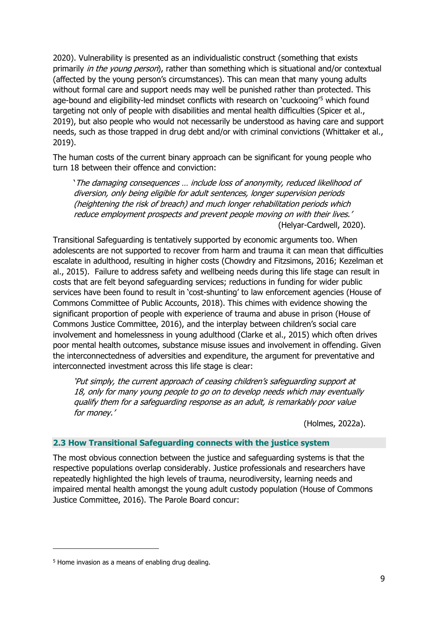2020). Vulnerability is presented as an individualistic construct (something that exists primarily *in the young person*), rather than something which is situational and/or contextual (affected by the young person's circumstances). This can mean that many young adults without formal care and support needs may well be punished rather than protected. This age-bound and eligibility-led mindset conflicts with research on 'cuckooing'[5](#page-8-1) which found targeting not only of people with disabilities and mental health difficulties (Spicer et al., 2019), but also people who would not necessarily be understood as having care and support needs, such as those trapped in drug debt and/or with criminal convictions (Whittaker et al., 2019).

The human costs of the current binary approach can be significant for young people who turn 18 between their offence and conviction:

'The damaging consequences … include loss of anonymity, reduced likelihood of diversion, only being eligible for adult sentences, longer supervision periods (heightening the risk of breach) and much longer rehabilitation periods which reduce employment prospects and prevent people moving on with their lives.' (Helyar-Cardwell, 2020).

Transitional Safeguarding is tentatively supported by economic arguments too. When adolescents are not supported to recover from harm and trauma it can mean that difficulties escalate in adulthood, resulting in higher costs (Chowdry and Fitzsimons, 2016; Kezelman et al., 2015). Failure to address safety and wellbeing needs during this life stage can result in costs that are felt beyond safeguarding services; reductions in funding for wider public services have been found to result in 'cost-shunting' to law enforcement agencies (House of Commons Committee of Public Accounts, 2018). This chimes with evidence showing the significant proportion of people with experience of trauma and abuse in prison (House of Commons Justice Committee, 2016), and the interplay between children's social care involvement and homelessness in young adulthood (Clarke et al., 2015) which often drives poor mental health outcomes, substance misuse issues and involvement in offending. Given the interconnectedness of adversities and expenditure, the argument for preventative and interconnected investment across this life stage is clear:

'Put simply, the current approach of ceasing children's safeguarding support at 18, only for many young people to go on to develop needs which may eventually qualify them for a safeguarding response as an adult, is remarkably poor value for money.'

(Holmes, 2022a).

### <span id="page-8-0"></span>**2.3 How Transitional Safeguarding connects with the justice system**

The most obvious connection between the justice and safeguarding systems is that the respective populations overlap considerably. Justice professionals and researchers have repeatedly highlighted the high levels of trauma, neurodiversity, learning needs and impaired mental health amongst the young adult custody population (House of Commons Justice Committee, 2016). The Parole Board concur:

<span id="page-8-1"></span><sup>&</sup>lt;sup>5</sup> Home invasion as a means of enabling drug dealing.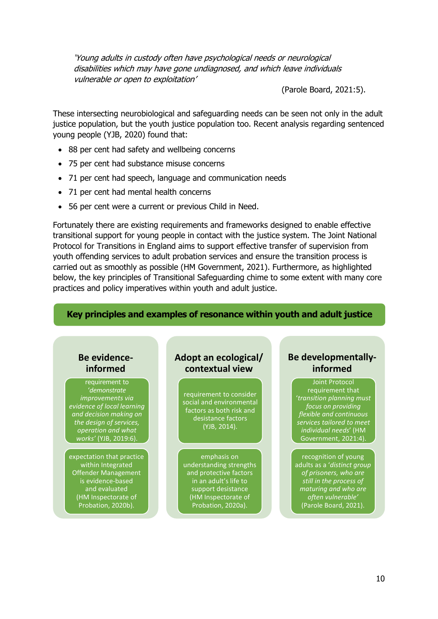'Young adults in custody often have psychological needs or neurological disabilities which may have gone undiagnosed, and which leave individuals vulnerable or open to exploitation'

(Parole Board, 2021:5).

These intersecting neurobiological and safeguarding needs can be seen not only in the adult justice population, but the youth justice population too. Recent analysis regarding sentenced young people (YJB, 2020) found that:

- 88 per cent had safety and wellbeing concerns
- 75 per cent had substance misuse concerns
- 71 per cent had speech, language and communication needs
- 71 per cent had mental health concerns
- 56 per cent were a current or previous Child in Need.

Fortunately there are existing requirements and frameworks designed to enable effective transitional support for young people in contact with the justice system. The Joint National Protocol for Transitions in England aims to support effective transfer of supervision from youth offending services to adult probation services and ensure the transition process is carried out as smoothly as possible (HM Government, 2021). Furthermore, as highlighted below, the key principles of Transitional Safeguarding chime to some extent with many core practices and policy imperatives within youth and adult justice.

#### **Key principles and examples of resonance within youth and adult justice**

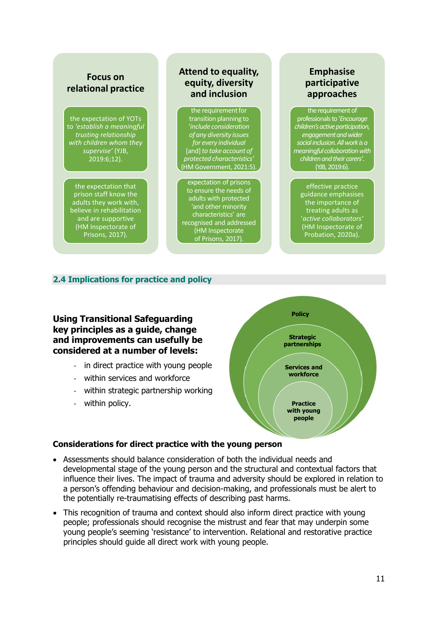## **Focus on relational practice**

the expectation of YOTs to *'establish a meaningful trusting relationship with children whom they supervise'* (YJB, 2019:6;12).

the expectation that prison staff know the adults they work with, believe in rehabilitation and are supportive (HM Inspectorate of Prisons, 2017).

# **Attend to equality, equity, diversity and inclusion**

the requirement for transition planning to '*include consideration of any diversity issues for every individual*  [and]*to take account of protected characteristics'*  (HM Government, 2021:5).

expectation of prisons to ensure the needs of adults with protected 'and other minority characteristics' are recognised and addressed (HM Inspectorate of Prisons, 2017).

# **Emphasise participative approaches**

the requirement of professionals to '*Encourage children's active participation, engagement and wider social inclusion. All work is a meaningful collaboration with children and their carers'*. (YJB, 2019:6).

effective practice guidance emphasises the importance of treating adults as '*active collaborators'* (HM Inspectorate of Probation, 2020a).

# <span id="page-10-0"></span>**2.4 Implications for practice and policy**

**Using Transitional Safeguarding key principles as a guide, change and improvements can usefully be considered at a number of levels:**

- in direct practice with young people
- within services and workforce
- within strategic partnership working
- within policy.



### **Considerations for direct practice with the young person**

- Assessments should balance consideration of both the individual needs and developmental stage of the young person and the structural and contextual factors that influence their lives. The impact of trauma and adversity should be explored in relation to a person's offending behaviour and decision-making, and professionals must be alert to the potentially re-traumatising effects of describing past harms.
- This recognition of trauma and context should also inform direct practice with young people; professionals should recognise the mistrust and fear that may underpin some young people's seeming 'resistance' to intervention. Relational and restorative practice principles should guide all direct work with young people.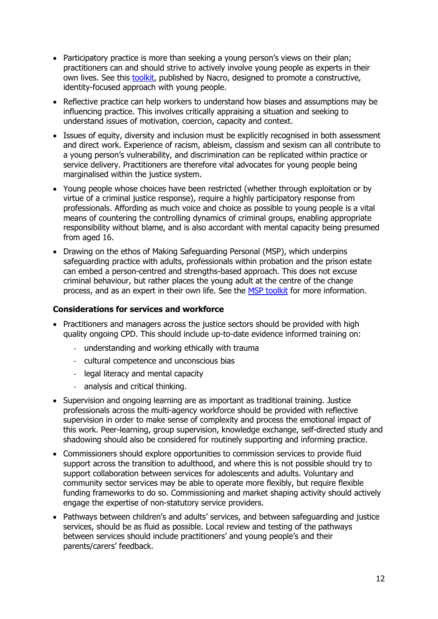- Participatory practice is more than seeking a young person's views on their plan; practitioners can and should strive to actively involve young people as experts in their own lives. See this [toolkit,](https://www.nacro.org.uk/news/nacro-news/new-toolkit-using-an-identity-lens-constructive-working-with-children-in-the-criminal-justice-system/) published by Nacro, designed to promote a constructive, identity-focused approach with young people.
- Reflective practice can help workers to understand how biases and assumptions may be influencing practice. This involves critically appraising a situation and seeking to understand issues of motivation, coercion, capacity and context.
- Issues of equity, diversity and inclusion must be explicitly recognised in both assessment and direct work. Experience of racism, ableism, classism and sexism can all contribute to a young person's vulnerability, and discrimination can be replicated within practice or service delivery. Practitioners are therefore vital advocates for young people being marginalised within the justice system.
- Young people whose choices have been restricted (whether through exploitation or by virtue of a criminal justice response), require a highly participatory response from professionals. Affording as much voice and choice as possible to young people is a vital means of countering the controlling dynamics of criminal groups, enabling appropriate responsibility without blame, and is also accordant with mental capacity being presumed from aged 16.
- Drawing on the ethos of Making Safeguarding Personal (MSP), which underpins safeguarding practice with adults, professionals within probation and the prison estate can embed a person-centred and strengths-based approach. This does not excuse criminal behaviour, but rather places the young adult at the centre of the change process, and as an expert in their own life. See the [MSP toolkit](https://www.local.gov.uk/msp-toolkit) for more information.

### **Considerations for services and workforce**

- Practitioners and managers across the justice sectors should be provided with high quality ongoing CPD. This should include up-to-date evidence informed training on:
	- understanding and working ethically with trauma
	- cultural competence and unconscious bias
	- legal literacy and mental capacity
	- analysis and critical thinking.
- Supervision and ongoing learning are as important as traditional training. Justice professionals across the multi-agency workforce should be provided with reflective supervision in order to make sense of complexity and process the emotional impact of this work. Peer-learning, group supervision, knowledge exchange, self-directed study and shadowing should also be considered for routinely supporting and informing practice.
- Commissioners should explore opportunities to commission services to provide fluid support across the transition to adulthood, and where this is not possible should try to support collaboration between services for adolescents and adults. Voluntary and community sector services may be able to operate more flexibly, but require flexible funding frameworks to do so. Commissioning and market shaping activity should actively engage the expertise of non-statutory service providers.
- Pathways between children's and adults' services, and between safeguarding and justice services, should be as fluid as possible. Local review and testing of the pathways between services should include practitioners' and young people's and their parents/carers' feedback.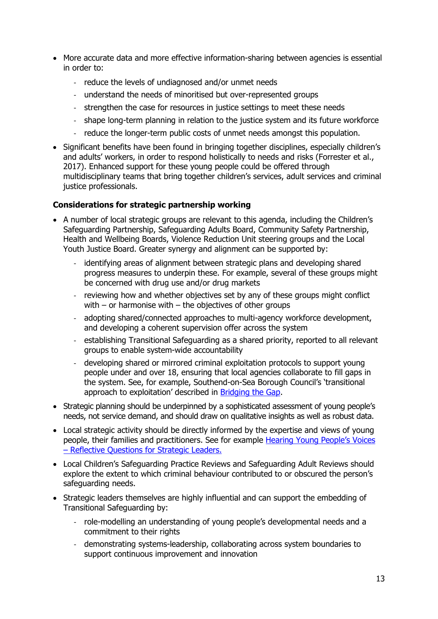- More accurate data and more effective information-sharing between agencies is essential in order to:
	- reduce the levels of undiagnosed and/or unmet needs
	- understand the needs of minoritised but over-represented groups
	- strengthen the case for resources in justice settings to meet these needs
	- shape long-term planning in relation to the justice system and its future workforce
	- reduce the longer-term public costs of unmet needs amongst this population.
- Significant benefits have been found in bringing together disciplines, especially children's and adults' workers, in order to respond holistically to needs and risks (Forrester et al., 2017). Enhanced support for these young people could be offered through multidisciplinary teams that bring together children's services, adult services and criminal justice professionals.

# **Considerations for strategic partnership working**

- A number of local strategic groups are relevant to this agenda, including the Children's Safeguarding Partnership, Safeguarding Adults Board, Community Safety Partnership, Health and Wellbeing Boards, Violence Reduction Unit steering groups and the Local Youth Justice Board. Greater synergy and alignment can be supported by:
	- identifying areas of alignment between strategic plans and developing shared progress measures to underpin these. For example, several of these groups might be concerned with drug use and/or drug markets
	- reviewing how and whether objectives set by any of these groups might conflict with – or harmonise with – the objectives of other groups
	- adopting shared/connected approaches to multi-agency workforce development, and developing a coherent supervision offer across the system
	- establishing Transitional Safeguarding as a shared priority, reported to all relevant groups to enable system-wide accountability
	- developing shared or mirrored criminal exploitation protocols to support young people under and over 18, ensuring that local agencies collaborate to fill gaps in the system. See, for example, Southend-on-Sea Borough Council's 'transitional approach to exploitation' described in [Bridging the Gap.](https://www.researchinpractice.org.uk/all/publications/2021/june/bridging-the-gap-transitional-safeguarding-and-the-role-of-social-work-with-adults-knowledge-briefing/)
- Strategic planning should be underpinned by a sophisticated assessment of young people's needs, not service demand, and should draw on qualitative insights as well as robust data.
- Local strategic activity should be directly informed by the expertise and views of young people, their families and practitioners. See for example [Hearing Young People's Voices](https://tce.researchinpractice.org.uk/hearing-young-peoples-voices-reflective-questions-for-strategic-leaders/)  – [Reflective Questions for Strategic Leaders.](https://tce.researchinpractice.org.uk/hearing-young-peoples-voices-reflective-questions-for-strategic-leaders/)
- Local Children's Safeguarding Practice Reviews and Safeguarding Adult Reviews should explore the extent to which criminal behaviour contributed to or obscured the person's safeguarding needs.
- Strategic leaders themselves are highly influential and can support the embedding of Transitional Safeguarding by:
	- role-modelling an understanding of young people's developmental needs and a commitment to their rights
	- demonstrating systems-leadership, collaborating across system boundaries to support continuous improvement and innovation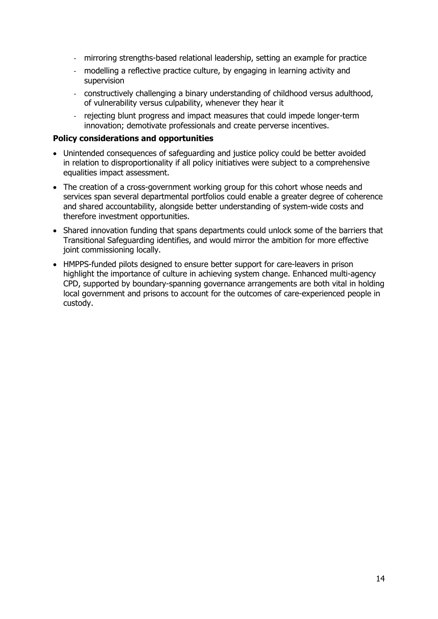- mirroring strengths-based relational leadership, setting an example for practice
- modelling a reflective practice culture, by engaging in learning activity and supervision
- constructively challenging a binary understanding of childhood versus adulthood, of vulnerability versus culpability, whenever they hear it
- rejecting blunt progress and impact measures that could impede longer-term innovation; demotivate professionals and create perverse incentives.

#### **Policy considerations and opportunities**

- Unintended consequences of safeguarding and justice policy could be better avoided in relation to disproportionality if all policy initiatives were subject to a comprehensive equalities impact assessment.
- The creation of a cross-government working group for this cohort whose needs and services span several departmental portfolios could enable a greater degree of coherence and shared accountability, alongside better understanding of system-wide costs and therefore investment opportunities.
- Shared innovation funding that spans departments could unlock some of the barriers that Transitional Safeguarding identifies, and would mirror the ambition for more effective joint commissioning locally.
- HMPPS-funded pilots designed to ensure better support for care-leavers in prison highlight the importance of culture in achieving system change. Enhanced multi-agency CPD, supported by boundary-spanning governance arrangements are both vital in holding local government and prisons to account for the outcomes of care-experienced people in custody.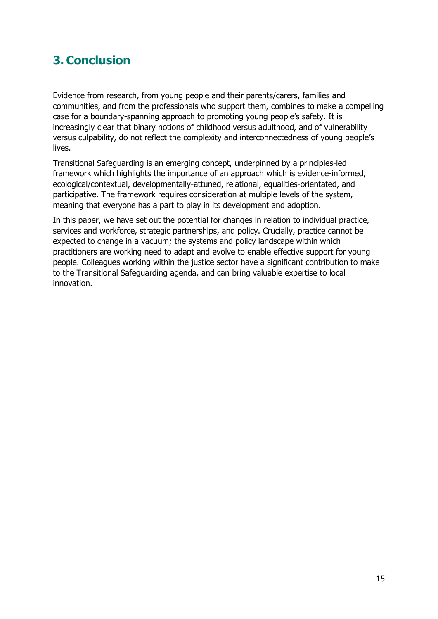# <span id="page-14-0"></span>**3. Conclusion**

Evidence from research, from young people and their parents/carers, families and communities, and from the professionals who support them, combines to make a compelling case for a boundary-spanning approach to promoting young people's safety. It is increasingly clear that binary notions of childhood versus adulthood, and of vulnerability versus culpability, do not reflect the complexity and interconnectedness of young people's lives.

Transitional Safeguarding is an emerging concept, underpinned by a principles-led framework which highlights the importance of an approach which is evidence-informed, ecological/contextual, developmentally-attuned, relational, equalities-orientated, and participative. The framework requires consideration at multiple levels of the system, meaning that everyone has a part to play in its development and adoption.

In this paper, we have set out the potential for changes in relation to individual practice, services and workforce, strategic partnerships, and policy. Crucially, practice cannot be expected to change in a vacuum; the systems and policy landscape within which practitioners are working need to adapt and evolve to enable effective support for young people. Colleagues working within the justice sector have a significant contribution to make to the Transitional Safeguarding agenda, and can bring valuable expertise to local innovation.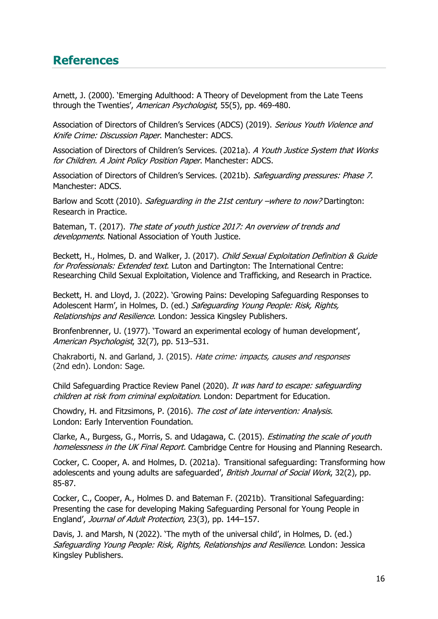# <span id="page-15-0"></span>**References**

Arnett, J. (2000). 'Emerging Adulthood: A Theory of Development from the Late Teens through the Twenties', American Psychologist, 55(5), pp. 469-480.

Association of Directors of Children's Services (ADCS) (2019). Serious Youth Violence and Knife Crime: Discussion Paper. Manchester: ADCS.

Association of Directors of Children's Services. (2021a). A Youth Justice System that Works for Children. A Joint Policy Position Paper. Manchester: ADCS.

Association of Directors of Children's Services. (2021b). Safeguarding pressures: Phase 7. Manchester: ADCS.

Barlow and Scott (2010). Safeguarding in the 21st century –where to now? Dartington: Research in Practice.

Bateman, T. (2017). The state of youth justice 2017: An overview of trends and developments. National Association of Youth Justice.

Beckett, H., Holmes, D. and Walker, J. (2017). Child Sexual Exploitation Definition & Guide for Professionals: Extended text. Luton and Dartington: The International Centre: Researching Child Sexual Exploitation, Violence and Trafficking, and Research in Practice.

Beckett, H. and Lloyd, J. (2022). 'Growing Pains: Developing Safeguarding Responses to Adolescent Harm', in Holmes, D. (ed.) Safeguarding Young People: Risk, Rights, Relationships and Resilience. London: Jessica Kingsley Publishers.

Bronfenbrenner, U. (1977). 'Toward an experimental ecology of human development', American Psychologist, 32(7), pp. 513-531.

Chakraborti, N. and Garland, J. (2015). Hate crime: impacts, causes and responses (2nd edn). London: Sage.

Child Safeguarding Practice Review Panel (2020). It was hard to escape: safeguarding children at risk from criminal exploitation. London: Department for Education.

Chowdry, H. and Fitzsimons, P. (2016). The cost of late intervention: Analysis. London: Early Intervention Foundation.

Clarke, A., Burgess, G., Morris, S. and Udagawa, C. (2015). *Estimating the scale of youth* homelessness in the UK Final Report. Cambridge Centre for Housing and Planning Research.

Cocker, C. Cooper, A. and Holmes, D. (2021a). 'Transitional safeguarding: Transforming how adolescents and young adults are safeguarded', British Journal of Social Work, 32(2), pp. 85-87.

Cocker, C., Cooper, A., Holmes D. and Bateman F. (2021b). 'Transitional Safeguarding: Presenting the case for developing Making Safeguarding Personal for Young People in England', Journal of Adult Protection, 23(3), pp. 144–157.

Davis, J. and Marsh, N (2022). 'The myth of the universal child', in Holmes, D. (ed.) Safeguarding Young People: Risk, Rights, Relationships and Resilience. London: Jessica Kingsley Publishers.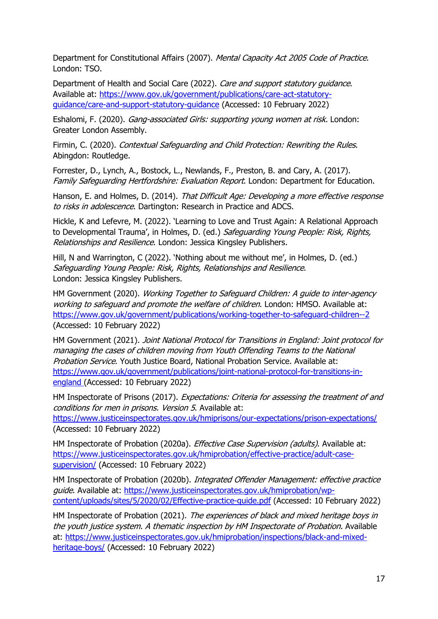Department for Constitutional Affairs (2007). Mental Capacity Act 2005 Code of Practice. London: TSO.

Department of Health and Social Care (2022). Care and support statutory guidance. Available at: [https://www.gov.uk/government/publications/care-act-statutory](https://www.gov.uk/government/publications/care-act-statutory-guidance/care-and-support-statutory-guidance)[guidance/care-and-support-statutory-guidance](https://www.gov.uk/government/publications/care-act-statutory-guidance/care-and-support-statutory-guidance) (Accessed: 10 February 2022)

Eshalomi, F. (2020). *Gang-associated Girls: supporting young women at risk.* London: Greater London Assembly.

Firmin, C. (2020). Contextual Safeguarding and Child Protection: Rewriting the Rules. Abingdon: Routledge.

Forrester, D., Lynch, A., Bostock, L., Newlands, F., Preston, B. and Cary, A. (2017). Family Safeguarding Hertfordshire: Evaluation Report. London: Department for Education.

Hanson, E. and Holmes, D. (2014). That Difficult Age: Developing a more effective response to risks in adolescence. Dartington: Research in Practice and ADCS.

Hickle, K and Lefevre, M. (2022). 'Learning to Love and Trust Again: A Relational Approach to Developmental Trauma', in Holmes, D. (ed.) Safeguarding Young People: Risk, Rights, Relationships and Resilience. London: Jessica Kingsley Publishers.

Hill, N and Warrington, C (2022). 'Nothing about me without me', in Holmes, D. (ed.) Safeguarding Young People: Risk, Rights, Relationships and Resilience. London: Jessica Kingsley Publishers.

HM Government (2020). Working Together to Safeguard Children: A quide to inter-agency working to safequard and promote the welfare of children. London: HMSO. Available at: <https://www.gov.uk/government/publications/working-together-to-safeguard-children--2> (Accessed: 10 February 2022)

HM Government (2021). Joint National Protocol for Transitions in England: Joint protocol for managing the cases of children moving from Youth Offending Teams to the National Probation Service. Youth Justice Board, National Probation Service. Available at: [https://www.gov.uk/government/publications/joint-national-protocol-for-transitions-in](https://www.gov.uk/government/publications/joint-national-protocol-for-transitions-in-england)[england](https://www.gov.uk/government/publications/joint-national-protocol-for-transitions-in-england) (Accessed: 10 February 2022)

HM Inspectorate of Prisons (2017). Expectations: Criteria for assessing the treatment of and conditions for men in prisons. Version 5. Available at:

<https://www.justiceinspectorates.gov.uk/hmiprisons/our-expectations/prison-expectations/> (Accessed: 10 February 2022)

HM Inspectorate of Probation (2020a). *Effective Case Supervision (adults)*. Available at: [https://www.justiceinspectorates.gov.uk/hmiprobation/effective-practice/adult-case](https://www.justiceinspectorates.gov.uk/hmiprobation/effective-practice/adult-case-supervision/)[supervision/](https://www.justiceinspectorates.gov.uk/hmiprobation/effective-practice/adult-case-supervision/) (Accessed: 10 February 2022)

HM Inspectorate of Probation (2020b). Integrated Offender Management: effective practice guide. Available at: [https://www.justiceinspectorates.gov.uk/hmiprobation/wp](https://www.justiceinspectorates.gov.uk/hmiprobation/wp-content/uploads/sites/5/2020/02/Effective-practice-guide.pdf)[content/uploads/sites/5/2020/02/Effective-practice-guide.pdf](https://www.justiceinspectorates.gov.uk/hmiprobation/wp-content/uploads/sites/5/2020/02/Effective-practice-guide.pdf) (Accessed: 10 February 2022)

HM Inspectorate of Probation (2021). The experiences of black and mixed heritage boys in the youth justice system. A thematic inspection by HM Inspectorate of Probation. Available at: [https://www.justiceinspectorates.gov.uk/hmiprobation/inspections/black-and-mixed](https://www.justiceinspectorates.gov.uk/hmiprobation/inspections/black-and-mixed-heritage-boys/)[heritage-boys/](https://www.justiceinspectorates.gov.uk/hmiprobation/inspections/black-and-mixed-heritage-boys/) (Accessed: 10 February 2022)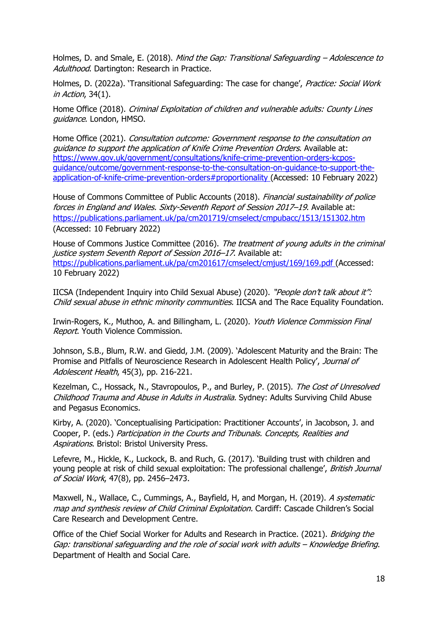Holmes, D. and Smale, E. (2018). Mind the Gap: Transitional Safeguarding – Adolescence to Adulthood. Dartington: Research in Practice.

Holmes, D. (2022a). 'Transitional Safeguarding: The case for change', Practice: Social Work in Action, 34(1).

Home Office (2018). Criminal Exploitation of children and vulnerable adults: County Lines guidance. London, HMSO.

Home Office (2021). Consultation outcome: Government response to the consultation on guidance to support the application of Knife Crime Prevention Orders. Available at: [https://www.gov.uk/government/consultations/knife-crime-prevention-orders-kcpos](https://www.gov.uk/government/consultations/knife-crime-prevention-orders-kcpos-guidance/outcome/government-response-to-the-consultation-on-guidance-to-support-the-application-of-knife-crime-prevention-orders#proportionality)[guidance/outcome/government-response-to-the-consultation-on-guidance-to-support-the](https://www.gov.uk/government/consultations/knife-crime-prevention-orders-kcpos-guidance/outcome/government-response-to-the-consultation-on-guidance-to-support-the-application-of-knife-crime-prevention-orders#proportionality)[application-of-knife-crime-prevention-orders#proportionality](https://www.gov.uk/government/consultations/knife-crime-prevention-orders-kcpos-guidance/outcome/government-response-to-the-consultation-on-guidance-to-support-the-application-of-knife-crime-prevention-orders#proportionality) (Accessed: 10 February 2022)

House of Commons Committee of Public Accounts (2018). Financial sustainability of police forces in England and Wales. Sixty-Seventh Report of Session 2017–19. Available at: <https://publications.parliament.uk/pa/cm201719/cmselect/cmpubacc/1513/151302.htm> (Accessed: 10 February 2022)

House of Commons Justice Committee (2016). The treatment of young adults in the criminal justice system Seventh Report of Session 2016-17. Available at: <https://publications.parliament.uk/pa/cm201617/cmselect/cmjust/169/169.pdf> (Accessed: 10 February 2022)

IICSA (Independent Inquiry into Child Sexual Abuse) (2020). "People don't talk about it": Child sexual abuse in ethnic minority communities. IICSA and The Race Equality Foundation.

Irwin-Rogers, K., Muthoo, A. and Billingham, L. (2020). Youth Violence Commission Final Report. Youth Violence Commission.

Johnson, S.B., Blum, R.W. and Giedd, J.M. (2009). 'Adolescent Maturity and the Brain: The Promise and Pitfalls of Neuroscience Research in Adolescent Health Policy', Journal of Adolescent Health, 45(3), pp. 216-221.

Kezelman, C., Hossack, N., Stavropoulos, P., and Burley, P. (2015). The Cost of Unresolved Childhood Trauma and Abuse in Adults in Australia. Sydney: Adults Surviving Child Abuse and Pegasus Economics.

Kirby, A. (2020). 'Conceptualising Participation: Practitioner Accounts', in Jacobson, J. and Cooper, P. (eds.) Participation in the Courts and Tribunals. Concepts, Realities and Aspirations. Bristol: Bristol University Press.

Lefevre, M., Hickle, K., Luckock, B. and Ruch, G. (2017). 'Building trust with children and young people at risk of child sexual exploitation: The professional challenge', British Journal of Social Work, 47(8), pp. 2456–2473.

Maxwell, N., Wallace, C., Cummings, A., Bayfield, H, and Morgan, H. (2019). A systematic map and synthesis review of Child Criminal Exploitation. Cardiff: Cascade Children's Social Care Research and Development Centre.

Office of the Chief Social Worker for Adults and Research in Practice. (2021). Bridging the Gap: transitional safeguarding and the role of social work with adults – Knowledge Briefing. Department of Health and Social Care.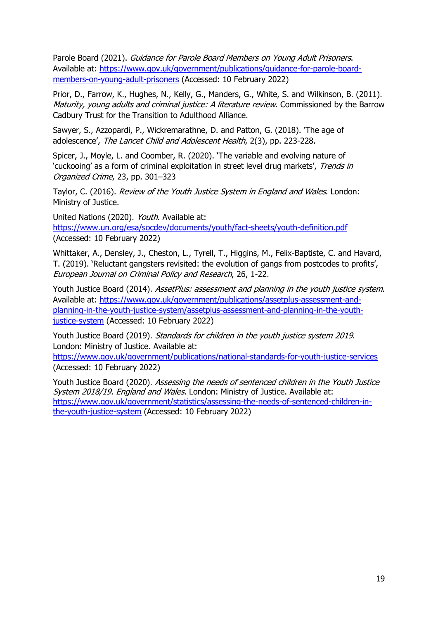Parole Board (2021). Guidance for Parole Board Members on Young Adult Prisoners. Available at: [https://www.gov.uk/government/publications/guidance-for-parole-board](https://www.gov.uk/government/publications/guidance-for-parole-board-members-on-young-adult-prisoners)[members-on-young-adult-prisoners](https://www.gov.uk/government/publications/guidance-for-parole-board-members-on-young-adult-prisoners) (Accessed: 10 February 2022)

Prior, D., Farrow, K., Hughes, N., Kelly, G., Manders, G., White, S. and Wilkinson, B. (2011). Maturity, young adults and criminal justice: A literature review. Commissioned by the Barrow Cadbury Trust for the Transition to Adulthood Alliance.

Sawyer, S., Azzopardi, P., Wickremarathne, D. and Patton, G. (2018). 'The age of adolescence', The Lancet Child and Adolescent Health, 2(3), pp. 223-228.

Spicer, J., Moyle, L. and Coomber, R. (2020). 'The variable and evolving nature of 'cuckooing' as a form of criminal exploitation in street level drug markets', Trends in Organized Crime, 23, pp. 301–323

Taylor, C. (2016). Review of the Youth Justice System in England and Wales. London: Ministry of Justice.

United Nations (2020). Youth. Available at: <https://www.un.org/esa/socdev/documents/youth/fact-sheets/youth-definition.pdf> (Accessed: 10 February 2022)

Whittaker, A., Densley, J., Cheston, L., Tyrell, T., Higgins, M., Felix-Baptiste, C. and Havard, T. (2019). 'Reluctant gangsters revisited: the evolution of gangs from postcodes to profits', European Journal on Criminal Policy and Research, 26, 1-22.

Youth Justice Board (2014). AssetPlus: assessment and planning in the youth justice system. Available at: [https://www.gov.uk/government/publications/assetplus-assessment-and](https://www.gov.uk/government/publications/assetplus-assessment-and-planning-in-the-youth-justice-system/assetplus-assessment-and-planning-in-the-youth-justice-system)[planning-in-the-youth-justice-system/assetplus-assessment-and-planning-in-the-youth](https://www.gov.uk/government/publications/assetplus-assessment-and-planning-in-the-youth-justice-system/assetplus-assessment-and-planning-in-the-youth-justice-system)[justice-system](https://www.gov.uk/government/publications/assetplus-assessment-and-planning-in-the-youth-justice-system/assetplus-assessment-and-planning-in-the-youth-justice-system) (Accessed: 10 February 2022)

Youth Justice Board (2019). Standards for children in the youth justice system 2019. London: Ministry of Justice. Available at:

<https://www.gov.uk/government/publications/national-standards-for-youth-justice-services> (Accessed: 10 February 2022)

Youth Justice Board (2020). Assessing the needs of sentenced children in the Youth Justice System 2018/19. England and Wales. London: Ministry of Justice. Available at: [https://www.gov.uk/government/statistics/assessing-the-needs-of-sentenced-children-in](https://www.gov.uk/government/statistics/assessing-the-needs-of-sentenced-children-in-the-youth-justice-system)[the-youth-justice-system](https://www.gov.uk/government/statistics/assessing-the-needs-of-sentenced-children-in-the-youth-justice-system) (Accessed: 10 February 2022)